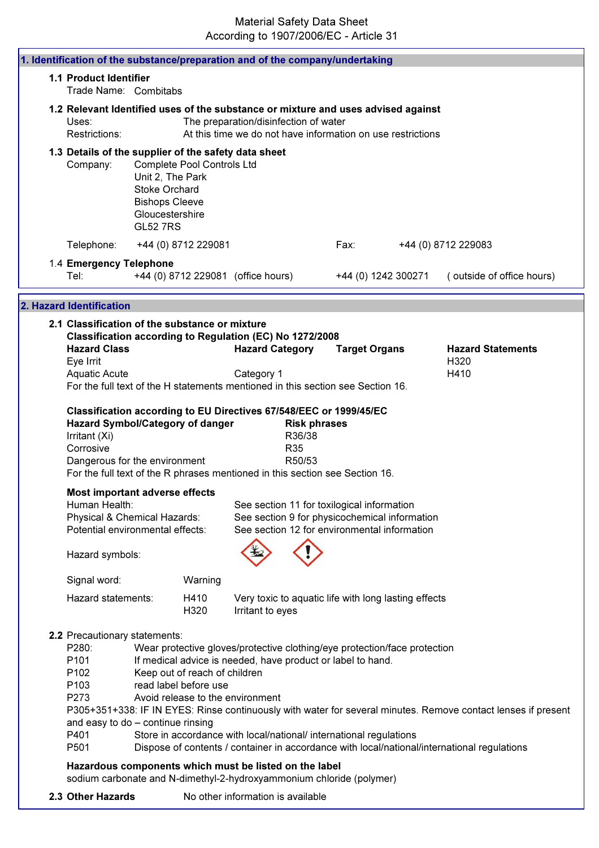| 1. Identification of the substance/preparation and of the company/undertaking                                                                                                                                                                                |                                                                                                         |                                                                                            |                                       |                                                |                                                                                                                                                                                                                |                                                                                                                                                                                                              |
|--------------------------------------------------------------------------------------------------------------------------------------------------------------------------------------------------------------------------------------------------------------|---------------------------------------------------------------------------------------------------------|--------------------------------------------------------------------------------------------|---------------------------------------|------------------------------------------------|----------------------------------------------------------------------------------------------------------------------------------------------------------------------------------------------------------------|--------------------------------------------------------------------------------------------------------------------------------------------------------------------------------------------------------------|
| <b>1.1 Product Identifier</b><br>Trade Name: Combitabs                                                                                                                                                                                                       |                                                                                                         |                                                                                            |                                       |                                                |                                                                                                                                                                                                                |                                                                                                                                                                                                              |
| 1.2 Relevant Identified uses of the substance or mixture and uses advised against<br>Uses:<br>Restrictions:                                                                                                                                                  |                                                                                                         |                                                                                            | The preparation/disinfection of water |                                                | At this time we do not have information on use restrictions                                                                                                                                                    |                                                                                                                                                                                                              |
| 1.3 Details of the supplier of the safety data sheet<br>Company:                                                                                                                                                                                             | Unit 2, The Park<br><b>Stoke Orchard</b><br><b>Bishops Cleeve</b><br>Gloucestershire<br><b>GL52 7RS</b> | Complete Pool Controls Ltd                                                                 |                                       |                                                |                                                                                                                                                                                                                |                                                                                                                                                                                                              |
| Telephone:                                                                                                                                                                                                                                                   |                                                                                                         | +44 (0) 8712 229081                                                                        |                                       |                                                | Fax:                                                                                                                                                                                                           | +44 (0) 8712 229083                                                                                                                                                                                          |
| 1.4 Emergency Telephone<br>Tel:                                                                                                                                                                                                                              |                                                                                                         |                                                                                            | +44 (0) 8712 229081 (office hours)    |                                                | +44 (0) 1242 300271                                                                                                                                                                                            | (outside of office hours)                                                                                                                                                                                    |
| 2. Hazard Identification                                                                                                                                                                                                                                     |                                                                                                         |                                                                                            |                                       |                                                |                                                                                                                                                                                                                |                                                                                                                                                                                                              |
| 2.1 Classification of the substance or mixture<br>Classification according to Regulation (EC) No 1272/2008<br><b>Hazard Class</b>                                                                                                                            |                                                                                                         |                                                                                            | <b>Hazard Category</b>                |                                                | <b>Target Organs</b>                                                                                                                                                                                           | <b>Hazard Statements</b>                                                                                                                                                                                     |
| Eye Irrit<br>Aquatic Acute                                                                                                                                                                                                                                   |                                                                                                         |                                                                                            | Category 1                            |                                                |                                                                                                                                                                                                                | H320<br>H410                                                                                                                                                                                                 |
| For the full text of the H statements mentioned in this section see Section 16.                                                                                                                                                                              |                                                                                                         |                                                                                            |                                       |                                                |                                                                                                                                                                                                                |                                                                                                                                                                                                              |
| Classification according to EU Directives 67/548/EEC or 1999/45/EC<br><b>Hazard Symbol/Category of danger</b><br>Irritant (Xi)<br>Corrosive<br>Dangerous for the environment<br>For the full text of the R phrases mentioned in this section see Section 16. |                                                                                                         |                                                                                            |                                       | <b>Risk phrases</b><br>R36/38<br>R35<br>R50/53 |                                                                                                                                                                                                                |                                                                                                                                                                                                              |
| <b>Most important adverse effects</b><br>Human Health:<br>Physical & Chemical Hazards:<br>Potential environmental effects:                                                                                                                                   |                                                                                                         |                                                                                            |                                       |                                                | See section 11 for toxilogical information<br>See section 9 for physicochemical information<br>See section 12 for environmental information                                                                    |                                                                                                                                                                                                              |
| Hazard symbols:                                                                                                                                                                                                                                              |                                                                                                         |                                                                                            |                                       |                                                |                                                                                                                                                                                                                |                                                                                                                                                                                                              |
| Signal word:                                                                                                                                                                                                                                                 |                                                                                                         | Warning                                                                                    |                                       |                                                |                                                                                                                                                                                                                |                                                                                                                                                                                                              |
| Hazard statements:                                                                                                                                                                                                                                           |                                                                                                         | H410<br>H320                                                                               | Irritant to eyes                      |                                                | Very toxic to aquatic life with long lasting effects                                                                                                                                                           |                                                                                                                                                                                                              |
| 2.2 Precautionary statements:<br>P280:<br>P101<br>P <sub>102</sub><br>P103<br>P273<br>and easy to do - continue rinsing<br>P401<br>P501                                                                                                                      |                                                                                                         | Keep out of reach of children<br>read label before use<br>Avoid release to the environment |                                       |                                                | Wear protective gloves/protective clothing/eye protection/face protection<br>If medical advice is needed, have product or label to hand.<br>Store in accordance with local/national/ international regulations | P305+351+338: IF IN EYES: Rinse continuously with water for several minutes. Remove contact lenses if present<br>Dispose of contents / container in accordance with local/national/international regulations |
| Hazardous components which must be listed on the label<br>sodium carbonate and N-dimethyl-2-hydroxyammonium chloride (polymer)                                                                                                                               |                                                                                                         |                                                                                            |                                       |                                                |                                                                                                                                                                                                                |                                                                                                                                                                                                              |
| 2.3 Other Hazards                                                                                                                                                                                                                                            |                                                                                                         |                                                                                            | No other information is available     |                                                |                                                                                                                                                                                                                |                                                                                                                                                                                                              |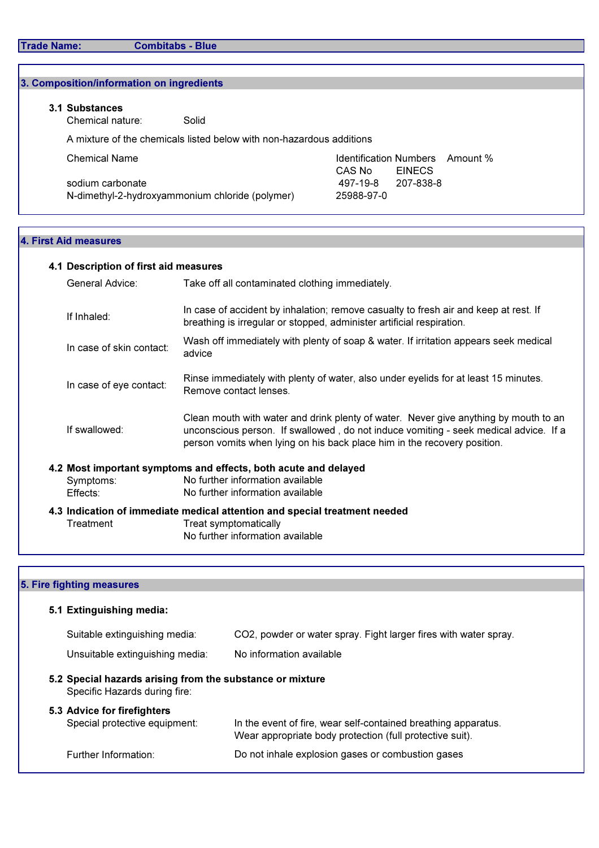r

| 3.1 Substances<br>Chemical nature: | Solid                                                                |            |                                 |  |
|------------------------------------|----------------------------------------------------------------------|------------|---------------------------------|--|
|                                    | A mixture of the chemicals listed below with non-hazardous additions |            |                                 |  |
| <b>Chemical Name</b>               |                                                                      |            | Identification Numbers Amount % |  |
|                                    |                                                                      | CAS No     | <b>EINECS</b>                   |  |
| sodium carbonate                   |                                                                      | 497-19-8   | 207-838-8                       |  |
|                                    | N-dimethyl-2-hydroxyammonium chloride (polymer)                      | 25988-97-0 |                                 |  |

# 4.1 Description of first aid measures

| General Advice:          | Take off all contaminated clothing immediately.                                                                                                                                                                                                          |
|--------------------------|----------------------------------------------------------------------------------------------------------------------------------------------------------------------------------------------------------------------------------------------------------|
| If Inhaled:              | In case of accident by inhalation; remove casualty to fresh air and keep at rest. If<br>breathing is irregular or stopped, administer artificial respiration.                                                                                            |
| In case of skin contact: | Wash off immediately with plenty of soap & water. If irritation appears seek medical<br>advice                                                                                                                                                           |
| In case of eye contact:  | Rinse immediately with plenty of water, also under eyelids for at least 15 minutes.<br>Remove contact lenses.                                                                                                                                            |
| If swallowed:            | Clean mouth with water and drink plenty of water. Never give anything by mouth to an<br>unconscious person. If swallowed, do not induce vomiting - seek medical advice. If a<br>person vomits when lying on his back place him in the recovery position. |
|                          | 4.2 Most important symptoms and effects, both acute and delayed                                                                                                                                                                                          |
| Symptoms:                | No further information available                                                                                                                                                                                                                         |
| Effects:                 | No further information available                                                                                                                                                                                                                         |
|                          | 4.3 Indication of immediate medical attention and special treatment needed                                                                                                                                                                               |
| Treatment                | Treat symptomatically                                                                                                                                                                                                                                    |
|                          | No further information available                                                                                                                                                                                                                         |

# 5. Fire fighting measures

| 5.1 Extinguishing media:                                                                   |                                                                                                                            |  |  |  |  |
|--------------------------------------------------------------------------------------------|----------------------------------------------------------------------------------------------------------------------------|--|--|--|--|
| Suitable extinguishing media:                                                              | CO2, powder or water spray. Fight larger fires with water spray.                                                           |  |  |  |  |
| Unsuitable extinguishing media:                                                            | No information available                                                                                                   |  |  |  |  |
| 5.2 Special hazards arising from the substance or mixture<br>Specific Hazards during fire: |                                                                                                                            |  |  |  |  |
| 5.3 Advice for firefighters<br>Special protective equipment:                               | In the event of fire, wear self-contained breathing apparatus.<br>Wear appropriate body protection (full protective suit). |  |  |  |  |
| Further Information:                                                                       | Do not inhale explosion gases or combustion gases                                                                          |  |  |  |  |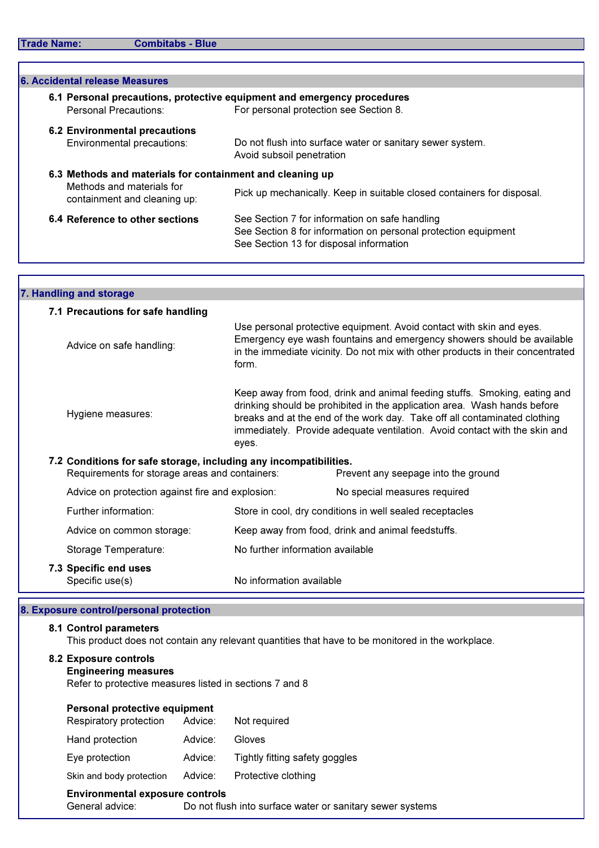Г

| <b>6. Accidental release Measures</b>                                                                                  |                                                                                                                                                             |  |  |  |  |
|------------------------------------------------------------------------------------------------------------------------|-------------------------------------------------------------------------------------------------------------------------------------------------------------|--|--|--|--|
| Personal Precautions:                                                                                                  | 6.1 Personal precautions, protective equipment and emergency procedures<br>For personal protection see Section 8.                                           |  |  |  |  |
| <b>6.2 Environmental precautions</b><br>Environmental precautions:                                                     | Do not flush into surface water or sanitary sewer system.<br>Avoid subsoil penetration                                                                      |  |  |  |  |
| 6.3 Methods and materials for containment and cleaning up<br>Methods and materials for<br>containment and cleaning up: | Pick up mechanically. Keep in suitable closed containers for disposal.                                                                                      |  |  |  |  |
| 6.4 Reference to other sections                                                                                        | See Section 7 for information on safe handling<br>See Section 8 for information on personal protection equipment<br>See Section 13 for disposal information |  |  |  |  |
|                                                                                                                        |                                                                                                                                                             |  |  |  |  |

| 7. Handling and storage                                                                                             |                                                                                                                                                                                                                                                                                                                           |                                                                                                                                                                                                                                   |  |  |  |
|---------------------------------------------------------------------------------------------------------------------|---------------------------------------------------------------------------------------------------------------------------------------------------------------------------------------------------------------------------------------------------------------------------------------------------------------------------|-----------------------------------------------------------------------------------------------------------------------------------------------------------------------------------------------------------------------------------|--|--|--|
| 7.1 Precautions for safe handling                                                                                   |                                                                                                                                                                                                                                                                                                                           |                                                                                                                                                                                                                                   |  |  |  |
| Advice on safe handling:                                                                                            | form.                                                                                                                                                                                                                                                                                                                     | Use personal protective equipment. Avoid contact with skin and eyes.<br>Emergency eye wash fountains and emergency showers should be available<br>in the immediate vicinity. Do not mix with other products in their concentrated |  |  |  |
| Hygiene measures:                                                                                                   | Keep away from food, drink and animal feeding stuffs. Smoking, eating and<br>drinking should be prohibited in the application area. Wash hands before<br>breaks and at the end of the work day. Take off all contaminated clothing<br>immediately. Provide adequate ventilation. Avoid contact with the skin and<br>eyes. |                                                                                                                                                                                                                                   |  |  |  |
| 7.2 Conditions for safe storage, including any incompatibilities.<br>Requirements for storage areas and containers: |                                                                                                                                                                                                                                                                                                                           | Prevent any seepage into the ground                                                                                                                                                                                               |  |  |  |
| Advice on protection against fire and explosion:                                                                    |                                                                                                                                                                                                                                                                                                                           | No special measures required                                                                                                                                                                                                      |  |  |  |
| Further information:                                                                                                |                                                                                                                                                                                                                                                                                                                           | Store in cool, dry conditions in well sealed receptacles                                                                                                                                                                          |  |  |  |
| Advice on common storage:                                                                                           |                                                                                                                                                                                                                                                                                                                           | Keep away from food, drink and animal feedstuffs.                                                                                                                                                                                 |  |  |  |
| Storage Temperature:                                                                                                | No further information available                                                                                                                                                                                                                                                                                          |                                                                                                                                                                                                                                   |  |  |  |
| 7.3 Specific end uses<br>Specific use(s)                                                                            | No information available                                                                                                                                                                                                                                                                                                  |                                                                                                                                                                                                                                   |  |  |  |

# 8. Exposure control/personal protection

## 8.1 Control parameters

This product does not contain any relevant quantities that have to be monitored in the workplace.

| 8.2 Exposure controls<br><b>Engineering measures</b>           |         |                                                           |
|----------------------------------------------------------------|---------|-----------------------------------------------------------|
| Refer to protective measures listed in sections 7 and 8        |         |                                                           |
| <b>Personal protective equipment</b><br>Respiratory protection | Advice: | Not required                                              |
| Hand protection                                                | Advice: | Gloves                                                    |
| Eye protection                                                 | Advice: | Tightly fitting safety goggles                            |
| Skin and body protection                                       | Advice: | Protective clothing                                       |
| <b>Environmental exposure controls</b>                         |         |                                                           |
| General advice:                                                |         | Do not flush into surface water or sanitary sewer systems |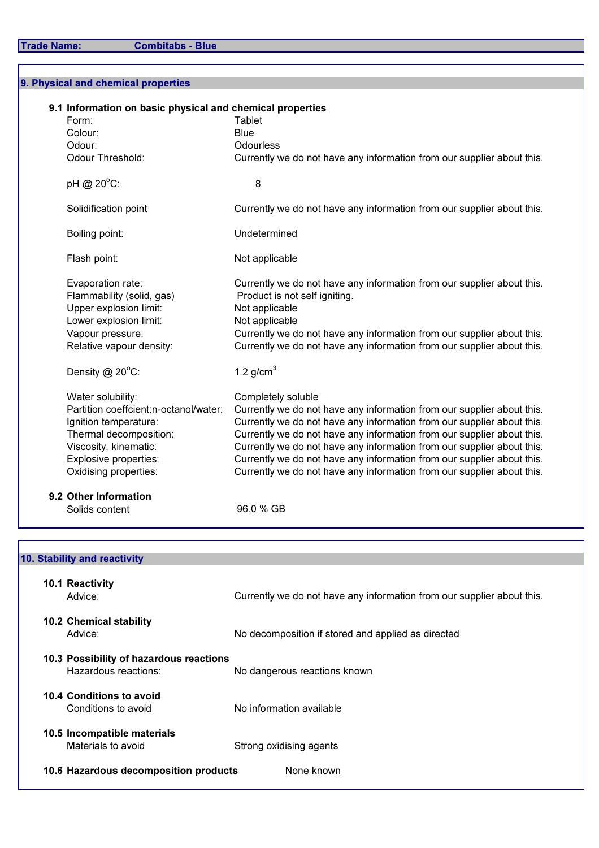Trade Name: Combitabs - Blue

9. Physical and chemical properties

| 9.1 Information on basic physical and chemical properties<br>Form:<br>Colour:<br>Odour:<br>Odour Threshold:                                                                              | Tablet<br><b>Blue</b><br><b>Odourless</b><br>Currently we do not have any information from our supplier about this.                                                                                                                                                                                                                                                                                                                                                            |
|------------------------------------------------------------------------------------------------------------------------------------------------------------------------------------------|--------------------------------------------------------------------------------------------------------------------------------------------------------------------------------------------------------------------------------------------------------------------------------------------------------------------------------------------------------------------------------------------------------------------------------------------------------------------------------|
| pH @ 20°C:                                                                                                                                                                               | 8                                                                                                                                                                                                                                                                                                                                                                                                                                                                              |
| Solidification point                                                                                                                                                                     | Currently we do not have any information from our supplier about this.                                                                                                                                                                                                                                                                                                                                                                                                         |
| Boiling point:                                                                                                                                                                           | Undetermined                                                                                                                                                                                                                                                                                                                                                                                                                                                                   |
| Flash point:                                                                                                                                                                             | Not applicable                                                                                                                                                                                                                                                                                                                                                                                                                                                                 |
| Evaporation rate:<br>Flammability (solid, gas)<br>Upper explosion limit:<br>Lower explosion limit:<br>Vapour pressure:<br>Relative vapour density:                                       | Currently we do not have any information from our supplier about this.<br>Product is not self igniting.<br>Not applicable<br>Not applicable<br>Currently we do not have any information from our supplier about this.<br>Currently we do not have any information from our supplier about this.                                                                                                                                                                                |
| Density $@$ 20 $°C$ :                                                                                                                                                                    | 1.2 $g/cm3$                                                                                                                                                                                                                                                                                                                                                                                                                                                                    |
| Water solubility:<br>Partition coeffcient:n-octanol/water:<br>Ignition temperature:<br>Thermal decomposition:<br>Viscosity, kinematic:<br>Explosive properties:<br>Oxidising properties: | Completely soluble<br>Currently we do not have any information from our supplier about this.<br>Currently we do not have any information from our supplier about this.<br>Currently we do not have any information from our supplier about this.<br>Currently we do not have any information from our supplier about this.<br>Currently we do not have any information from our supplier about this.<br>Currently we do not have any information from our supplier about this. |
| 9.2 Other Information<br>Solids content                                                                                                                                                  | 96.0 % GB                                                                                                                                                                                                                                                                                                                                                                                                                                                                      |

| 10.1 Reactivity<br>Advice:                                      | Currently we do not have any information from our supplier about this. |
|-----------------------------------------------------------------|------------------------------------------------------------------------|
| <b>10.2 Chemical stability</b><br>Advice:                       | No decomposition if stored and applied as directed                     |
| 10.3 Possibility of hazardous reactions<br>Hazardous reactions: | No dangerous reactions known                                           |
| 10.4 Conditions to avoid<br>Conditions to avoid                 | No information available                                               |
| 10.5 Incompatible materials<br>Materials to avoid               | Strong oxidising agents                                                |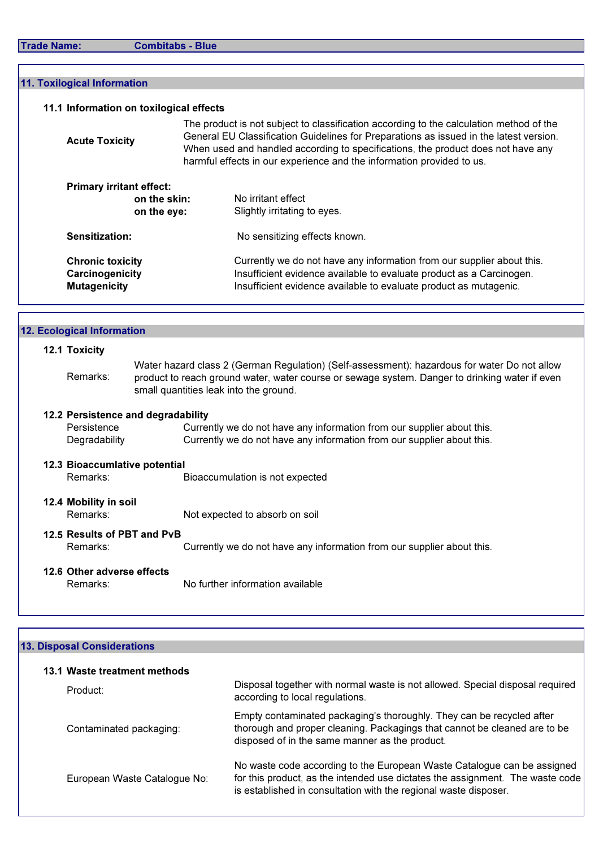| <b>Trade Name:</b> |  |  |  |  |  |  |  |
|--------------------|--|--|--|--|--|--|--|
|--------------------|--|--|--|--|--|--|--|

Combitabs - Blue

| 11.1 Information on toxilogical effects                           |                             |                                                                                                                                                                                                                                                                                                                                                |
|-------------------------------------------------------------------|-----------------------------|------------------------------------------------------------------------------------------------------------------------------------------------------------------------------------------------------------------------------------------------------------------------------------------------------------------------------------------------|
| <b>Acute Toxicity</b>                                             |                             | The product is not subject to classification according to the calculation method of the<br>General EU Classification Guidelines for Preparations as issued in the latest version.<br>When used and handled according to specifications, the product does not have any<br>harmful effects in our experience and the information provided to us. |
| <b>Primary irritant effect:</b>                                   | on the skin:<br>on the eye: | No irritant effect<br>Slightly irritating to eyes.                                                                                                                                                                                                                                                                                             |
| Sensitization:                                                    |                             | No sensitizing effects known.                                                                                                                                                                                                                                                                                                                  |
| <b>Chronic toxicity</b><br>Carcinogenicity<br><b>Mutagenicity</b> |                             | Currently we do not have any information from our supplier about this.<br>Insufficient evidence available to evaluate product as a Carcinogen.<br>Insufficient evidence available to evaluate product as mutagenic.                                                                                                                            |

| 12. Ecological Information    |                                                                                                                                                                                                                                          |
|-------------------------------|------------------------------------------------------------------------------------------------------------------------------------------------------------------------------------------------------------------------------------------|
| 12.1 Toxicity                 |                                                                                                                                                                                                                                          |
| Remarks:                      | Water hazard class 2 (German Regulation) (Self-assessment): hazardous for water Do not allow<br>product to reach ground water, water course or sewage system. Danger to drinking water if even<br>small quantities leak into the ground. |
|                               | 12.2 Persistence and degradability                                                                                                                                                                                                       |
| Persistence                   | Currently we do not have any information from our supplier about this.                                                                                                                                                                   |
| Degradability                 | Currently we do not have any information from our supplier about this.                                                                                                                                                                   |
| 12.3 Bioaccumlative potential |                                                                                                                                                                                                                                          |
| Remarks:                      | Bioaccumulation is not expected                                                                                                                                                                                                          |
| 12.4 Mobility in soil         |                                                                                                                                                                                                                                          |
| Remarks:                      | Not expected to absorb on soil                                                                                                                                                                                                           |
| 12.5 Results of PBT and PvB   |                                                                                                                                                                                                                                          |
| Remarks:                      | Currently we do not have any information from our supplier about this.                                                                                                                                                                   |
| 12.6 Other adverse effects    |                                                                                                                                                                                                                                          |
| Remarks:                      | No further information available                                                                                                                                                                                                         |
|                               |                                                                                                                                                                                                                                          |

## 13. Disposal Considerations

| 13.1 Waste treatment methods |                                                                                                                                                                                                                              |
|------------------------------|------------------------------------------------------------------------------------------------------------------------------------------------------------------------------------------------------------------------------|
| Product:                     | Disposal together with normal waste is not allowed. Special disposal required<br>according to local regulations.                                                                                                             |
| Contaminated packaging:      | Empty contaminated packaging's thoroughly. They can be recycled after<br>thorough and proper cleaning. Packagings that cannot be cleaned are to be<br>disposed of in the same manner as the product.                         |
| European Waste Catalogue No: | No waste code according to the European Waste Catalogue can be assigned<br>for this product, as the intended use dictates the assignment. The waste code<br>is established in consultation with the regional waste disposer. |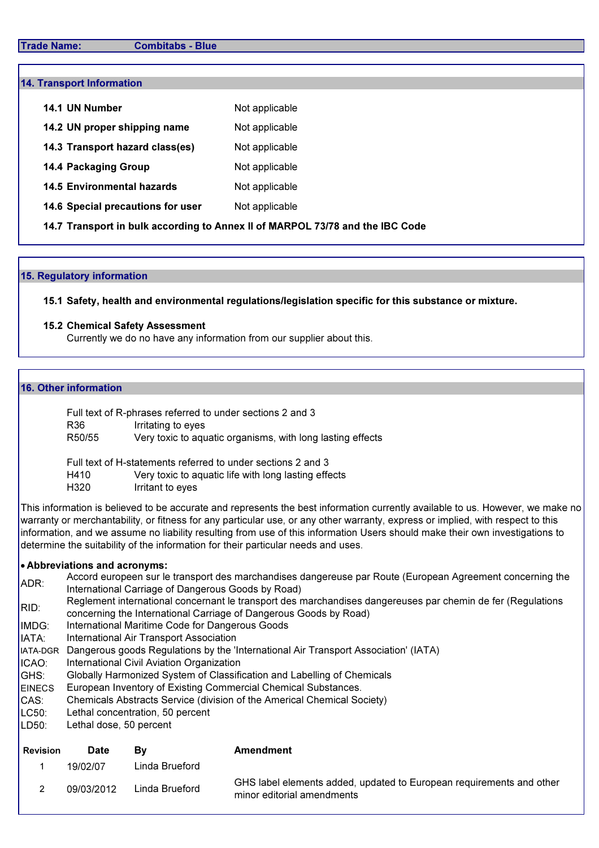#### Trade Name: Combitabs - Blue

| <b>14. Transport Information</b>                                              |                |  |  |  |  |
|-------------------------------------------------------------------------------|----------------|--|--|--|--|
| 14.1 UN Number                                                                | Not applicable |  |  |  |  |
| 14.2 UN proper shipping name                                                  | Not applicable |  |  |  |  |
| 14.3 Transport hazard class(es)                                               | Not applicable |  |  |  |  |
| <b>14.4 Packaging Group</b>                                                   | Not applicable |  |  |  |  |
| <b>14.5 Environmental hazards</b>                                             | Not applicable |  |  |  |  |
| 14.6 Special precautions for user                                             | Not applicable |  |  |  |  |
| 14.7 Transport in bulk according to Annex II of MARPOL 73/78 and the IBC Code |                |  |  |  |  |

#### 15. Regulatory information

15.1 Safety, health and environmental regulations/legislation specific for this substance or mixture.

#### 15.2 Chemical Safety Assessment

Currently we do no have any information from our supplier about this.

#### 16. Other information

| Full text of R-phrases referred to under sections 2 and 3 |                                                            |  |  |  |
|-----------------------------------------------------------|------------------------------------------------------------|--|--|--|
| R36                                                       | Irritating to eyes                                         |  |  |  |
| R50/55                                                    | Very toxic to aquatic organisms, with long lasting effects |  |  |  |

Full text of H-statements referred to under sections 2 and 3 H410 Very toxic to aquatic life with long lasting effects H320 Irritant to eyes

This information is believed to be accurate and represents the best information currently available to us. However, we make no warranty or merchantability, or fitness for any particular use, or any other warranty, express or implied, with respect to this information, and we assume no liability resulting from use of this information Users should make their own investigations to determine the suitability of the information for their particular needs and uses.

#### • Abbreviations and acronyms:

| ADR: | Accord europeen sur le transport des marchandises dangereuse par Route (European Agreement concerning the   |
|------|-------------------------------------------------------------------------------------------------------------|
|      | International Carriage of Dangerous Goods by Road)                                                          |
| DID. | Reglement international concernant le transport des marchandises dangereuses par chemin de fer (Regulations |

- RID: concerning the International Carriage of Dangerous Goods by Road)
- IMDG: International Maritime Code for Dangerous Goods
- IATA: International Air Transport Association
- IATA-DGR Dangerous goods Regulations by the 'International Air Transport Association' (IATA)
- ICAO: International Civil Aviation Organization
- GHS: Globally Harmonized System of Classification and Labelling of Chemicals
- **EINECS** European Inventory of Existing Commercial Chemical Substances.
- CAS: Chemicals Abstracts Service (division of the Americal Chemical Society)
- $LC50<sup>+</sup>$ Lethal concentration, 50 percent
- LD50: Lethal dose, 50 percent

| <b>Revision</b> | <b>Date</b> | Bv             | Amendment                                                                                          |
|-----------------|-------------|----------------|----------------------------------------------------------------------------------------------------|
|                 | 19/02/07    | Linda Brueford |                                                                                                    |
|                 | 09/03/2012  | Linda Brueford | GHS label elements added, updated to European requirements and other<br>minor editorial amendments |